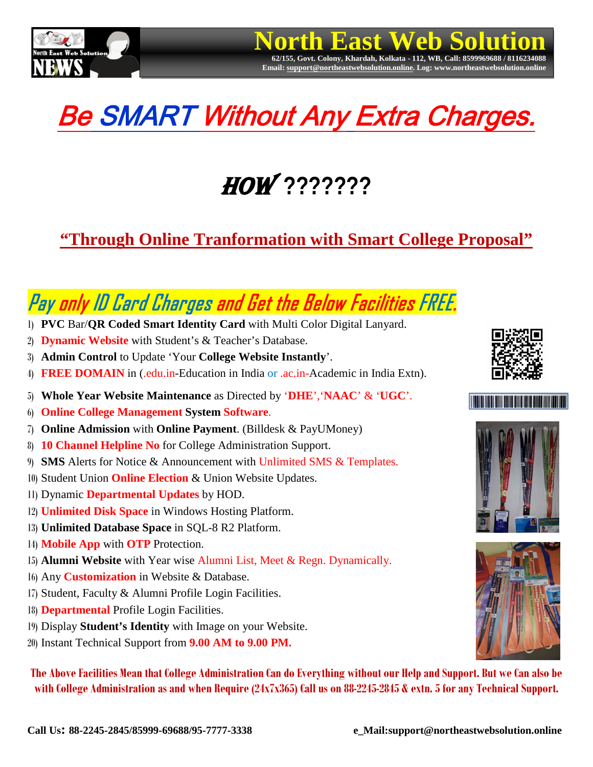

# Be SMART Without Any Extra Charges.

**North East Web Solution** 

**Email[: support@northeastwebsolution.online.](mailto:support@northeastwebsolution.online) Log: www.northeastwebsolution.online**

## How **???????**

## **"Through Online Tranformation with Smart College Proposal"**

## Pay only ID Card Charges and Get the Below Facilities FREE.

- 1) **PVC** Bar/**QR Coded Smart Identity Card** with Multi Color Digital Lanyard.
- 2) **Dynamic Website** with Student's & Teacher's Database.
- 3) **Admin Control** to Update 'Your **College Website Instantly**'.
- 4) **FREE DOMAIN** in (.edu.in-Education in India or .ac.in-Academic in India Extn).
- 5) **Whole Year Website Maintenance** as Directed by '**DHE**','**NAAC**' & '**UGC**'.
- 6) **Online College Management System Software**.
- 7) **Online Admission** with **Online Payment**. (Billdesk & PayUMoney)
- 8) **10 Channel Helpline No** for College Administration Support.
- 9) **SMS** Alerts for Notice & Announcement with Unlimited SMS & Templates.
- 10) Student Union **Online Election** & Union Website Updates.
- 11) Dynamic **Departmental Updates** by HOD.
- 12) **Unlimited Disk Space** in Windows Hosting Platform.
- 13) **Unlimited Database Space** in SQL-8 R2 Platform.
- 14) **Mobile App** with **OTP** Protection.
- 15) **Alumni Website** with Year wise Alumni List, Meet & Regn. Dynamically.
- 16) Any **Customization** in Website & Database.
- 17) Student, Faculty & Alumni Profile Login Facilities.
- 18) **Departmental** Profile Login Facilities.
- 19) Display **Student's Identity** with Image on your Website.
- 20) Instant Technical Support from **9.00 AM to 9.00 PM.**

**The Above Facilities Mean that College Administration Can do Everything without our Help and Support. But we Can also be with College Administration as and when Require (24x7x365) Call us on 88-2245-2845 & extn.5 for any Technical Support.**







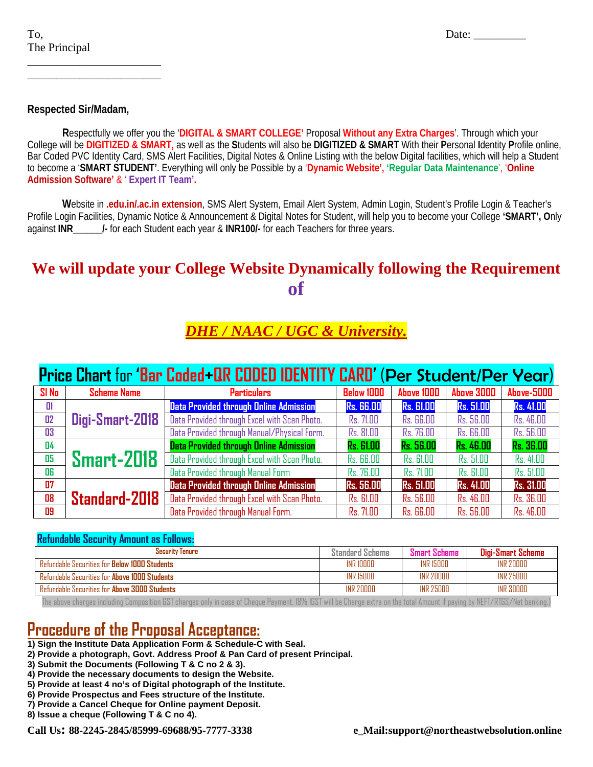#### **Respected Sir/Madam,**

\_\_\_\_\_\_\_\_\_\_\_\_\_\_\_\_\_\_\_\_\_\_\_ \_\_\_\_\_\_\_\_\_\_\_\_\_\_\_\_\_\_\_\_\_\_\_

**R**espectfully we offer you the '**DIGITAL & SMART COLLEGE'** Proposal **Without any Extra Charges**'. Through which your College will be **DIGITIZED & SMART,** as well as the **S**tudents will also be **DIGITIZED & SMART** With their **P**ersonal **I**dentity **P**rofile online, Bar Coded PVC Identity Card, SMS Alert Facilities, Digital Notes & Online Listing with the below Digital facilities, which will help a Student to become a '**SMART STUDENT'**. Everything will only be Possible by a '**Dynamic Website', 'Regular Data Maintenance**', '**Online Admission Software'** & ' **Expert IT Team'.**

**W**ebsite in **.edu.in/.ac.in extension**, SMS Alert System, Email Alert System, Admin Login, Student's Profile Login & Teacher's Profile Login Facilities, Dynamic Notice & Announcement & Digital Notes for Student, will help you to become your College **'SMART', O**nly against **INR\_\_\_\_\_\_/-** for each Student each year & **INR100/-** for each Teachers for three years.

#### **We will update your College Website Dynamically following the Requirement of**

### *DHE / NAAC / UGC & University.*

### **Price Chart** for **'Bar Coded+QR CODED IDENTITY CARD'** (Per Student/Per Year)

| $SI$ No $I$ | <b>Scheme Name</b> | <b>Particulars</b>                            | <b>Below 1000</b> | <b>Above 1000</b> | <b>Above 3000</b> | <b>Above-5000</b> |
|-------------|--------------------|-----------------------------------------------|-------------------|-------------------|-------------------|-------------------|
| $\Box$ 1    |                    | <b>Data Provided through Online Admission</b> | <b>Rs. 66.00</b>  | <b>Rs. 61.00</b>  | <b>Rs. 51.00</b>  | <b>Rs. 41.00</b>  |
| 02          | Digi-Smart-2018    | Data Provided through Excel with Scan Photo.  | Rs. 71.00         | <b>Rs. 66.00</b>  | Rs. 56.00         | Rs. 46.00         |
| 03          |                    | Data Provided through Manual/Physical Form.   | Rs. 81.00         | <b>Rs. 76.00</b>  | <b>Rs. 66.00</b>  | Rs. 56.00         |
| 04          |                    | <b>Data Provided through Online Admission</b> | <b>Rs. 61.00</b>  | <b>Rs. 56.00</b>  | <b>Rs. 46.00</b>  | <b>Rs. 36.00</b>  |
| 05          | <b>Smart-2018</b>  | Data Provided through Excel with Scan Photo.  | <b>Rs. 66.00</b>  | <b>Rs. 61.00</b>  | Rs. 51.00         | Rs. 41.00         |
| 06          |                    | Data Provided through Manual Form             | <b>Rs. 76.00</b>  | Rs. 71.00         | <b>Rs. 61.00</b>  | Rs. 51.00         |
| 07          |                    | <b>Data Provided through Online Admission</b> | <b>Rs. 56.00</b>  | <b>Rs. 51.00</b>  | <b>Rs. 41.00</b>  | <b>Rs. 31.00</b>  |
| 08          | Standard-2018      | Data Provided through Excel with Scan Photo.  | <b>Rs. 61.00</b>  | Rs. 56.00         | Rs. 46.00         | Rs. 36.00         |
| 09          |                    | Data Provided through Manual Form.            | Rs. 71.00         | <b>Rs. 66.00</b>  | <b>Rs. 56.00</b>  | Rs. 46.00         |

#### **Refundable Security Amount as Follows:**

| <b>Security Tenure</b>                                                                                                                                                    | <b>Standard Scheme</b> | Smart Scheme | Digi-Smart Scheme |  |
|---------------------------------------------------------------------------------------------------------------------------------------------------------------------------|------------------------|--------------|-------------------|--|
| <b>Refundable Securities for Below 1000 Students</b>                                                                                                                      | INR 10000              | INR 15000    | <b>INR 20000</b>  |  |
| <b>Refundable Securities for Above 1000 Students</b>                                                                                                                      | <b>INR 15000</b>       | INR 20000    | INR 25000         |  |
| <b>Refundable Securities for Above 3000 Students</b>                                                                                                                      | <b>INR 20000</b>       | INR 25000    | <b>INR 30000</b>  |  |
| The above charges including Composition GST charges only in case of Cheque Payment. 18% IGST will be Charge extra on the total Amount if paying by NEFT/RTGS/Net banking. |                        |              |                   |  |

#### **Procedure of the Proposal Acceptance:**

- **1) Sign the Institute Data Application Form & Schedule-C with Seal.**
- **2) Provide a photograph, Govt. Address Proof & Pan Card of present Principal.**
- **3) Submit the Documents (Following T & C no 2 & 3).**
- **4) Provide the necessary documents to design the Website.**
- **5) Provide at least 4 no's of Digital photograph of the Institute.**
- **6) Provide Prospectus and Fees structure of the Institute. 7) Provide a Cancel Cheque for Online payment Deposit.**
- 
- **8) Issue a cheque (Following T & C no 4).**

**Call Us: 88-2245-2845/85999-69688/95-7777-3338 e\_Mail:support@northeastwebsolution.online**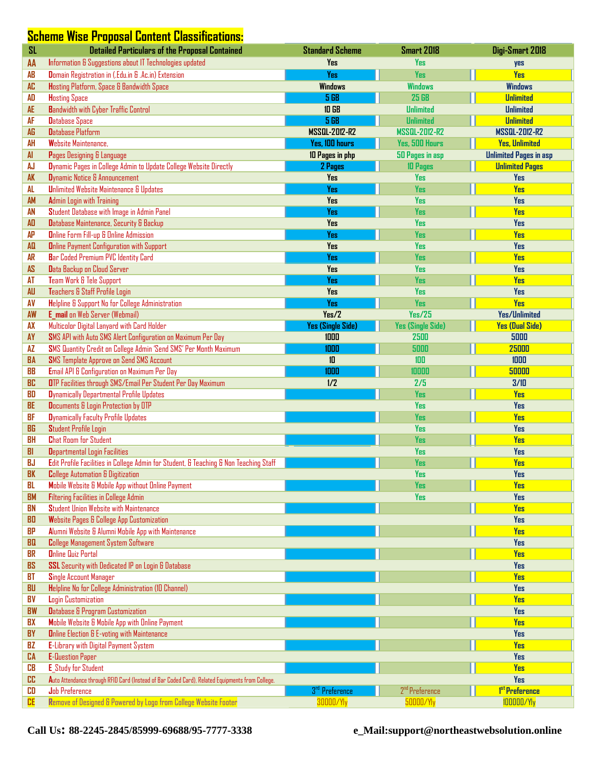#### $S$ cheme Wise Proposal Content Classifications:

| <b>SL</b>       | <b>Detailed Particulars of the Proposal Contained</b>                                                                                 | <b>Standard Scheme</b>     | <b>Smart 2018</b>          | Digi-Smart 2018               |
|-----------------|---------------------------------------------------------------------------------------------------------------------------------------|----------------------------|----------------------------|-------------------------------|
| AA              | Information & Suggestions about IT Technologies updated                                                                               | <b>Yes</b>                 | <b>Yes</b>                 | yes                           |
| <b>AB</b>       | Domain Registration in (.Edu.in & .Ac.in) Extension                                                                                   | <b>Yes</b>                 | <b>Yes</b>                 | <b>Yes</b>                    |
| <b>AC</b>       | Hosting Platform, Space & Bandwidth Space                                                                                             | <b>Windows</b>             | <b>Windows</b>             | <b>Windows</b>                |
| AD              | <b>Hosting Space</b>                                                                                                                  | 5 GB                       | <b>25 GB</b>               | <b>Unlimited</b>              |
| <b>AE</b>       | <b>Bandwidth with Cyber Traffic Control</b>                                                                                           | <b>10 GB</b>               | <b>Unlimited</b>           | <b>Unlimited</b>              |
| AF              | <b>Database Space</b>                                                                                                                 | <b>5 GB</b>                | <b>Unlimited</b>           | <b>Unlimited</b>              |
| <b>AG</b>       | <b>Database Platform</b>                                                                                                              | <b>MSSQL-2012-R2</b>       | <b>MSSQL-2012-R2</b>       | <b>MSSQL-2012-R2</b>          |
| AH              | Website Maintenance.                                                                                                                  | Yes, 100 hours             | Yes, 500 Hours             | <b>Yes, Unlimited</b>         |
| AI              | Pages Designing & Language                                                                                                            | 10 Pages in php            | 50 Pages in asp            | <b>Unlimited Pages in asp</b> |
| AJ              | Dynamic Pages in College Admin to Update College Website Directly                                                                     | 2 Pages                    | <b>10 Pages</b>            | <b>Unlimited Pages</b>        |
| <b>AK</b>       | Dynamic Notice & Announcement                                                                                                         | <b>Yes</b>                 | <b>Yes</b>                 | <b>Yes</b>                    |
| AL              | <b>Unlimited Website Maintenance &amp; Updates</b>                                                                                    | <b>Yes</b>                 | <b>Yes</b>                 | <b>Yes</b>                    |
| <b>AM</b>       | Admin Login with Training                                                                                                             | <b>Yes</b>                 | <b>Yes</b>                 | <b>Yes</b>                    |
| AN              | Student Database with Image in Admin Panel                                                                                            | Yes                        | <b>Yes</b>                 | <b>Yes</b>                    |
| <b>AD</b>       | Database Maintenance, Security & Backup                                                                                               | <b>Yes</b>                 | <b>Yes</b>                 | Yes                           |
| <b>AP</b>       | <b>Online Form Fill-up &amp; Online Admission</b>                                                                                     | <b>Yes</b>                 | <b>Yes</b>                 | <b>Yes</b>                    |
| <b>AQ</b>       | <b>Online Payment Configuration with Support</b>                                                                                      | <b>Yes</b>                 | <b>Yes</b>                 | <b>Yes</b>                    |
| <b>AR</b>       | Bar Coded Premium PVC Identity Card                                                                                                   | <b>Yes</b>                 | Yes                        | <b>Yes</b>                    |
| <b>AS</b>       | Data Backup on Cloud Server                                                                                                           | <b>Yes</b>                 | <b>Yes</b>                 | Yes                           |
| AT              | Team Work & Tele Support                                                                                                              | <b>Yes</b>                 | Yes                        | <b>Yes</b>                    |
| <b>AU</b>       | Teachers & Staff Profile Login                                                                                                        | <b>Yes</b>                 | <b>Yes</b>                 | Yes                           |
| AV              | Helpline & Support No for College Administration                                                                                      | <b>Yes</b>                 | <b>Yes</b>                 | <b>Yes</b>                    |
| AW              | E_mail on Web Server (Webmail)                                                                                                        | Yes/2                      | Yes/25                     | Yes/Unlimited                 |
| AX              | Multicolor Digital Lanyard with Card Holder                                                                                           | Yes (Single Side)          | Yes (Single Side)          | <b>Yes (Dual Side)</b>        |
| AY              | SMS API with Auto SMS Alert Configuration on Maximum Per Day                                                                          | 1000                       | 2500                       | 5000                          |
| <b>AZ</b>       | SMS Quantity Credit on College Admin 'Send SMS' Per Month Maximum                                                                     | 1000                       | 5000                       | 25000                         |
| <b>BA</b>       | SMS Template Approve on Send SMS Account                                                                                              | 10                         | 100                        | 1000                          |
| BB              | Email API & Configuration on Maximum Per Day                                                                                          | 1000                       | 10000                      | 50000                         |
| BC              | OTP Facilities through SMS/Email Per Student Per Day Maximum                                                                          | 1/2                        | 2/5                        | 3/10                          |
| BD              | <b>Dynamically Departmental Profile Updates</b>                                                                                       |                            | <b>Yes</b>                 | <b>Yes</b>                    |
| <b>BE</b>       | Documents & Login Protection by OTP                                                                                                   |                            | <b>Yes</b>                 | <b>Yes</b>                    |
| <b>BF</b>       | <b>Dynamically Faculty Profile Updates</b>                                                                                            |                            | Yes                        | <b>Yes</b>                    |
| BG<br><b>BH</b> | <b>Student Profile Login</b>                                                                                                          |                            | <b>Yes</b><br><b>Yes</b>   | <b>Yes</b><br><b>Yes</b>      |
|                 | <b>Chat Room for Student</b>                                                                                                          |                            | <b>Yes</b>                 |                               |
| BI<br>BJ        | <b>Departmental Login Facilities</b>                                                                                                  |                            | <b>Yes</b>                 | <b>Yes</b><br><b>Yes</b>      |
|                 | Edit Profile Facilities in College Admin for Student, & Teaching & Non Teaching Staff<br><b>College Automation &amp; Digitization</b> |                            | Yes                        |                               |
| <b>BK</b><br>BL | Mobile Website & Mobile App without Online Payment                                                                                    |                            | <b>Yes</b>                 | Yes<br><b>Yes</b>             |
| <b>BM</b>       | <b>Filtering Facilities in College Admin</b>                                                                                          |                            | <b>Yes</b>                 | Yes                           |
| BN              | Student Union Website with Maintenance                                                                                                |                            |                            | <b>Yes</b>                    |
| 80              | Website Pages & College App Customization                                                                                             |                            |                            | <b>Yes</b>                    |
| BP              | Alumni Website & Alumni Mobile App with Maintenance                                                                                   |                            |                            | <b>Yes</b>                    |
| BQ              | <b>College Management System Software</b>                                                                                             |                            |                            | <b>Yes</b>                    |
| BR              | <b>Online Quiz Portal</b>                                                                                                             |                            |                            | <b>Yes</b>                    |
| <b>BS</b>       | SSL Security with Dedicated IP on Login & Database                                                                                    |                            |                            | Yes                           |
| BT              | Single Account Manager                                                                                                                |                            |                            | <b>Yes</b>                    |
| BU              | Helpline No for College Administration (ID Channel)                                                                                   |                            |                            | <b>Yes</b>                    |
| BV              | <b>Login Customization</b>                                                                                                            |                            |                            | <b>Yes</b>                    |
| <b>BW</b>       | Database & Program Customization                                                                                                      |                            |                            | Yes                           |
| BX              | Mobile Website & Mobile App with Online Payment                                                                                       |                            |                            | <b>Yes</b>                    |
| <b>BY</b>       | <b>Online Election &amp; E-voting with Maintenance</b>                                                                                |                            |                            | <b>Yes</b>                    |
| BZ              | E-Library with Digital Payment System                                                                                                 |                            |                            | <b>Yes</b>                    |
| CA              | <b>E-Question Paper</b>                                                                                                               |                            |                            | <b>Yes</b>                    |
| CВ              | <b>E</b> Study for Student                                                                                                            |                            |                            | <b>Yes</b>                    |
| CC              | Auto Attendance through RFID Card (Instead of Bar Coded Card), Related Equipments from College.                                       |                            |                            | <b>Yes</b>                    |
| CD              | <b>Job Preference</b>                                                                                                                 | 3 <sup>rd</sup> Preference | 2 <sup>nd</sup> Preference | 1 <sup>st</sup> Preference    |
| <b>CE</b>       | Remove of Designed & Powered by Logo from College Website Footer                                                                      | 30000/Yly                  | 50000/Yly                  | 100000/Yly                    |